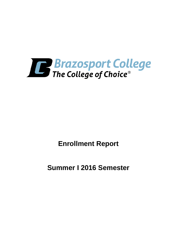

**Enrollment Report**

**Summer I 2016 Semester**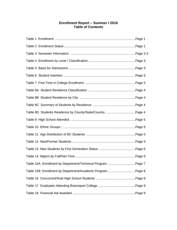# **Enrollment Report – Summer I 2016 Table of Contents**

| Table 15A Enrollment by Department/Technical Program Page 7 |  |
|-------------------------------------------------------------|--|
| Table 15B Enrollment by Department/Academic ProgramPage 8   |  |
|                                                             |  |
|                                                             |  |
|                                                             |  |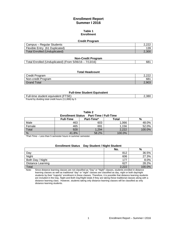# **Enrollment Report Summer I 2016**

#### **Table 1 Enrollment**

#### **Credit Program**

| Campus – Regular Students      | ാ റാല |
|--------------------------------|-------|
| Flexible Entry (61 Duplicated) | 139   |
| Total Enrolled (Unduplicated)  | 2.300 |

#### **Non-Credit Program**

| Total Enrolled (Unduplicated) (From 5/06/16 - 7/13/16) | 68' |
|--------------------------------------------------------|-----|
|--------------------------------------------------------|-----|

#### **Total Headcount**

| Credit Program     | n nnc<br>$-1$ |
|--------------------|---------------|
| Non-credit Program | 681           |
| <b>Grand Total</b> | 2.903         |

#### **Full-time Student Equivalent**

| Full-time student equivalent (FTSE)                | 2,380 |
|----------------------------------------------------|-------|
| Found by dividing total credit hours (11,899) by 5 |       |

**Table 2**

#### **Enrollment Status Part-Time / Full-Time**

|        | <b>Full-Time</b> | Part-Time* | <b>Total</b> | %      |
|--------|------------------|------------|--------------|--------|
| Male   | 463              | 603        | 1,066        | 48.0%  |
| Female | 465              | 691        | 1,156        | 52.0%  |
| Total  | 928              | 1,294      | 2,222        | 100.0% |
| %      | 41.8%            | 58.2%      | 100.0%       |        |

\*Part-Time – Less than 5 semester hours in summer semester.

# **Enrollment Status Day Student / Night Student**

|                   | No.   | %      |
|-------------------|-------|--------|
| Day               | 812   | 36.5%  |
| Night             | 606   | 27.3%  |
| Both Day / Night  | 177   | 8.0%   |
| Distance Learning | 627   | 28.2%  |
| Total             | 2.222 | 100.0% |

Note: Since distance learning classes are not classified as "Day" or "Night" classes, students enrolled in distance learning classes as well as traditional "day" or "night" classes are classified as day, night or both day/night students by their "majority" enrollment in these classes. Therefore, it is possible that distance learning students are included in the Day, Night and Both Day/Night totals if they are taking these traditional classes along with a distance learning class. However, students taking only distance learning classes will be classified as only distance learning students.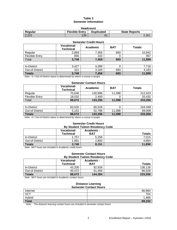# **Table 3 Semester Information**

| <b>Headcount</b>                                                              |     |    |       |  |  |
|-------------------------------------------------------------------------------|-----|----|-------|--|--|
| <b>Flexible Entry</b><br><b>Duplicated</b><br><b>State Reports</b><br>Regular |     |    |       |  |  |
| 2.222                                                                         | 139 | 61 | 2,361 |  |  |

| <b>Semester Credit Hours</b> |                                        |          |            |               |  |
|------------------------------|----------------------------------------|----------|------------|---------------|--|
|                              | <b>Vocational-</b><br><b>Technical</b> | Academic | <b>BAT</b> | <b>Totals</b> |  |
| Regular                      | 2,893                                  | 7,356    | 693        | 10,942        |  |
| <b>Flexible Entry</b>        | 855                                    | 102      | 0          | 957           |  |
| Total                        | 3,748                                  | 7,458    | 693        | 11,899        |  |
|                              |                                        |          |            |               |  |
| In-District                  | 3,427                                  | 4,289    | O          | 7,716         |  |
| Out-of-District              | 321                                    | 3,169    | 693        | 4,183         |  |
| <b>Totals</b>                | 3,748                                  | 7,458    | 693        | 11,899        |  |

Note: In / Out-of-District status is determined by where a course is taught.

#### **Semester Contact Hours**

|                       | <b>Vocational-</b><br><b>Technical</b> | Academic | <b>BAT</b> | <b>Totals</b> |
|-----------------------|----------------------------------------|----------|------------|---------------|
| Regular               | 70,640                                 | 130,896  | 11.088     | 212.624       |
| <b>Flexible Entry</b> | 18.032                                 | 2.400    |            | 20.432        |
| Total                 | 88.672                                 | 133,296  | 11,088     | 233,056       |

| In-District     | 83.520 | 80.528      |        | 164.048 |
|-----------------|--------|-------------|--------|---------|
| Out-of-District | 5.152  | 768<br>52.7 | 11.088 | 69.008  |
| <b>Totals</b>   | 88,672 | 133.296     | 11.088 | 233.056 |

Note: In / Out-of-District status is determined by where a course is taught.

# **Semester Credit Hours**

| <b>By Student Tuition Residency Code</b> |                                 |                          |               |  |
|------------------------------------------|---------------------------------|--------------------------|---------------|--|
|                                          | <b>Vocational-</b><br>Technical | Academic -<br><b>BAT</b> | <b>Totals</b> |  |
| In-District                              | 1,757                           | 5.258                    | 7.015         |  |
| Out-of-District                          | 1,991                           | 2,893                    | 4,894         |  |
| <b>Totals</b>                            | 3,748                           | 8,151                    | 11,899        |  |

Note: BAT hours are included in Academic credit hours.

#### **Semester Contact Hours By Student Tuition Residency Code**

|                 | <b>Vocational-</b><br><b>Technical</b> | Academic -<br>BAT | <b>Totals</b> |
|-----------------|----------------------------------------|-------------------|---------------|
| In-District     | 43.200                                 | 92.928            | 136.128       |
| Out-of-District | 45.472                                 | 51.456            | 96.928        |
| <b>Totals</b>   | 88.672                                 | 144,384           | 233,056       |

Note: BAT hours are included in Academic contact hours.

#### **Distance Learning Semester Contact Hours**

| Internet     | 66,960             |
|--------------|--------------------|
| <b>VCT</b>   | 704                |
| Hybrid       | $\triangle$<br>400 |
| <b>Total</b> | 69,152             |

Note: The distance learning contact hours are included in semester contact hours.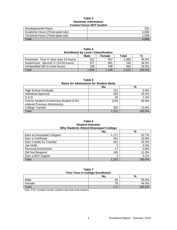#### **Table 3 Semester Information Contact hours** *NOT* **funded**

| Developmental Hours               | 320   |
|-----------------------------------|-------|
| Academic Hours (Three-peat rule)  | 3.568 |
| Technical Hours (Three-peat rule) | 1.008 |
| $\tau$ <sub>otal</sub>            | 4.89f |

| .<br><b>Enrollment by Level / Classification</b> |       |       |       |        |  |  |
|--------------------------------------------------|-------|-------|-------|--------|--|--|
| Male<br>%<br>Total<br>Female                     |       |       |       |        |  |  |
| Freshman: First Yr (less than 24 hours)          | 521   | 567   | 1.088 | 49.0%  |  |  |
| Sophomore: Second Yr (24-59 hours)               | 377   | 391   | 768   | 34.5%  |  |  |
| Unclassified (60 or more hours)                  | 168   | 198   | 366   | 16.5%  |  |  |
| Total                                            | 1.066 | 1.156 | 2.222 | 100.0% |  |  |

**Table 4**

| г<br>÷ |  |
|--------|--|
|        |  |

**Basis for Admissions for Student Body**

|                                          | No.   | %      |
|------------------------------------------|-------|--------|
| <b>High School Graduate</b>              | 131   | 5.9%   |
| Individual Approval                      | 426   | 19.2%  |
| G.E.D.                                   | 30    | 1.4%   |
| Former Student (Continuing Student & Re- | 1333  | 59.9%  |
| entered Previous Admissions)             |       |        |
| <b>College Transfer</b>                  | 302   | 13.6%  |
| Total                                    | 2.222 | 100.0% |

#### **Table 6 Student Intention Why Students Attend Brazosport College**

|                                  | No.   | %      |
|----------------------------------|-------|--------|
| Earn an Associate's Degree       | 1,171 | 52.7%  |
| Earn a Certificate               | 441   | 19.8%  |
| <b>Earn Credits for Transfer</b> | 341   | 15.3%  |
| Job Skills                       | 5     | 0.2%   |
| <b>Personal Enrichment</b>       | 17    | 0.8%   |
| Did Not Respond                  | 245   | 11.0%  |
| Earn a BAT Degree                |       | 0.1%   |
| Total                            | 2.222 | 100.0% |

### **Table 7 First Time in College Enrollment**

|                                                       | No. | %      |  |
|-------------------------------------------------------|-----|--------|--|
| Male                                                  | 95  | 55.6%  |  |
| Female                                                | 76  | 44.4%  |  |
| Total                                                 | 171 | 100.0% |  |
| $\cdots$ $\cdots$<br>$\cdots$<br>. .<br>$\sim$ $\sim$ |     |        |  |

Note: FTIC excludes transfer students and dual credit students.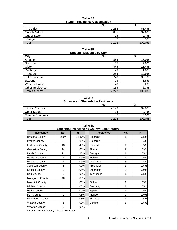| <b>Student Residence Classification</b> |       |        |  |
|-----------------------------------------|-------|--------|--|
|                                         | No.   | %      |  |
| In-District                             | 1.264 | 61.4%  |  |
| Out-of-District                         | 835   | 37.6%  |  |
| Out-of-State                            | 16    | 0.7%   |  |
| Foreign                                 |       | 0.3%   |  |
| Total                                   | 2,222 | 100.0% |  |

# **Table 8A Student Residence Classification**

#### **Table 8B Student Residence by City**

| - - - - - -            |       |        |  |  |
|------------------------|-------|--------|--|--|
| <b>City</b>            | No.   | $\%$   |  |  |
| Angleton               | 356   | 16.0%  |  |  |
| <b>Brazoria</b>        | 155   | 7.0%   |  |  |
| Clute                  | 343   | 15.4%  |  |  |
| Danbury                | 23    | 1.0%   |  |  |
| Freeport               | 286   | 12.9%  |  |  |
| Lake Jackson           | 748   | 33.7%  |  |  |
| Sweeny                 | 78    | 3.5%   |  |  |
| West Columbia          | 48    | 2.2%   |  |  |
| <b>Other Residence</b> | 185   | 8.3%   |  |  |
| <b>Total Students</b>  | 2,222 | 100.0% |  |  |

# **Table 8C Summary of Students by Residence**

|                          | No.                   | %      |  |
|--------------------------|-----------------------|--------|--|
| <b>Texas Counties</b>    | 2,199                 | 99.0%  |  |
| <b>Other States</b>      | 16                    | 7%     |  |
| <b>Foreign Countries</b> |                       | 0.3%   |  |
| Total                    | റ റററ<br>- . <i>.</i> | 100.0% |  |

| <b>Students Residence by County/State/Country</b> |                |        |                  |                |      |
|---------------------------------------------------|----------------|--------|------------------|----------------|------|
| <b>Residence</b>                                  | No.            | $\%$   | <b>Residence</b> | No.            | %    |
| <b>Brazoria County</b>                            | 2097           | 94.37% | Arkansas         | 1              | .05% |
| <b>Brazos County</b>                              | 1              | .05%   | California       | 3              | .14% |
| Fort Bend County                                  | 10             | .45%   | Colorado         | 1              | .05% |
| <b>Galveston County</b>                           | 14             | .63%   | Florida          | 2              | .09% |
| Harris County                                     | 21             | .95%   | Georgia          | 1              | .05% |
| <b>Harrison County</b>                            | 2              | .09%   | Indiana          | 1              | .05% |
| <b>Hidalgo County</b>                             | $\overline{2}$ | .09%   | Louisiana        | 3              | .14% |
| Jefferson County                                  | $\overline{2}$ | .09%l  | Mississippi      | 1              | .05% |
| <b>Kendall County</b>                             | 1              | .05%   | Oklahoma         | $\overline{2}$ | .09% |
| <b>Kerr County</b>                                | 1              | .05%   | Tennessee        | 1              | .05% |
| Matagorda County                                  | 40             | 1.80%  |                  |                |      |
| <b>Maverick County</b>                            | 1              | .05%   | Finland          | 1              | .05% |
| <b>Midland County</b>                             | 1              | .05%   | Germany          | 1              | .05% |
| Parker County                                     | 1              | .05%   | Japan            | 1              | .05% |
| Polk County                                       | 1              | .05%   | Mexico           | 2              | .09% |
| <b>Robertson County</b>                           | 1              | .05%   | Thailand         | 1              | .05% |
| Victoria County                                   | $\overline{2}$ | .09%   | Ukraine          | 1              | .05% |
| <b>Wharton County</b>                             | 1              | .05%   |                  |                |      |

**Table 8D**

Includes students that pay C & D coded tuition.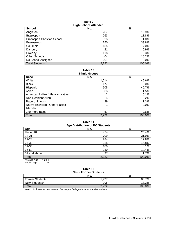# **Table 9 High School Attended**

| <b>School</b>                      | - 33<br>No. | $\%$   |
|------------------------------------|-------------|--------|
| Angleton                           | 287         | 12.9%  |
| <b>Brazosport</b>                  | 263         | 11.8%  |
| <b>Brazosport Christian School</b> | 23          | 1.0%   |
| <b>Brazoswood</b>                  | 750         | 33.8%  |
| Columbia                           | 155         | 7.0%   |
| Danbury                            | 21          | 0.9%   |
| Sweenv                             | 118         | 5.3%   |
| Other Schools                      | 404         | 18.2%  |
| No School Assigned                 | 201         | 9.0%   |
| <b>Total Students</b>              | 2,222       | 100.0% |

**Table 10 Ethnic Groups**

| EUIIIIL UIUUDS                   |       |        |  |  |
|----------------------------------|-------|--------|--|--|
| Race                             | No.   | %      |  |  |
| White                            | 1,014 | 45.6%  |  |  |
| <b>Black</b>                     | 177   | 8.0%   |  |  |
| Hispanic                         | 905   | 40.7%  |  |  |
| Asian                            | 33    | 1.5%   |  |  |
| American Indian / Alaskan Native | 2     | 0.1%   |  |  |
| Non-Resident Alien               | 4     | 0.2%   |  |  |
| Race Unknown                     | 29    | 1.3%   |  |  |
| Native Hawaiian / Other Pacific  |       | 0.0%   |  |  |
| Islander                         |       |        |  |  |
| 2 or more races                  | 57    | 2.6%   |  |  |
| Total                            | 2,222 | 100.0% |  |  |

### **Table 11 Age Distribution of BC Students**

| Ago Distribution of Bo Students            |       |        |  |  |
|--------------------------------------------|-------|--------|--|--|
| Age                                        | No.   | %      |  |  |
| Under 18                                   | 454   | 20.4%  |  |  |
| $18 - 21$                                  | 709   | 31.9%  |  |  |
| 22-24                                      | 284   | 12.8%  |  |  |
| 25-30                                      | 328   | 14.8%  |  |  |
| $31 - 35$                                  | 180   | 8.1%   |  |  |
| 36-50                                      | 230   | 10.4%  |  |  |
| 51 and above                               | 37    | 1.7%   |  |  |
| Total                                      | 2,222 | 100.0% |  |  |
| $\bigcap$ $\bigcap$<br>$\Lambda$ $\Lambda$ |       |        |  |  |

Average Age  $= 24.4$ Median Age  $= 21.0$ 

### **Table 12 New / Former Students**

| 11011110101101011001100 |       |           |  |
|-------------------------|-------|-----------|--|
|                         | No.   | %         |  |
| <b>Former Students</b>  | 1.927 | 86.7%     |  |
| New Students*           | 295   | 13.3%     |  |
| Total                   | 2,222 | $100.0\%$ |  |

Note: \* Indicates students new to Brazosport College--includes transfer students.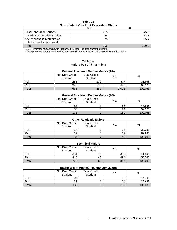| Table 13 |  |  |                                          |  |
|----------|--|--|------------------------------------------|--|
|          |  |  | New Students* by First Generation Status |  |
|          |  |  |                                          |  |

|                                                        | No. | %    |
|--------------------------------------------------------|-----|------|
| <b>First Generation Student</b>                        | 135 | 45.8 |
| <b>Not First Generation Student</b>                    | 85  | 28.8 |
| No response in mother's or<br>father's education level | 75  | 25.4 |
| Total                                                  | 295 |      |

Note: \* Indicates students new to Brazosport College--includes transfer students.

A first generation student is defined by both parents' education level below a Baccalaureate Degree.

#### **Table 14 Majors by Full / Part-Time**

# **General Academic Degree Majors (AA)**

|       | Not Dual Credit<br>Student | <b>Dual Credit</b><br><b>Student</b> | No.   | $\%$   |
|-------|----------------------------|--------------------------------------|-------|--------|
| Full  | 268                        | 109                                  | 377   | 36.9%  |
| Part  | 395                        | 250                                  | 645   | 63.1%  |
| Total | 663                        | 359                                  | 1.022 | 100.0% |

# **General Academic Degree Majors (AS)**

|       | Not Dual Credit<br><b>Student</b> | <b>Dual Credit</b><br><b>Student</b> | No. | %      |
|-------|-----------------------------------|--------------------------------------|-----|--------|
| Full  | 83                                |                                      | 86  | 47.8%  |
| Part  | 88                                |                                      | 94  | 52.2%  |
| Total | 171                               | 9                                    | 180 | 100.0% |

| <b>Other Academic Majors</b>                                            |    |  |    |        |  |  |
|-------------------------------------------------------------------------|----|--|----|--------|--|--|
| <b>Dual Credit</b><br>Not Dual Credit<br>%<br>No.<br>Student<br>Student |    |  |    |        |  |  |
| Full                                                                    | 14 |  | 16 | 37.2%  |  |  |
| Part                                                                    | 22 |  | ົ  | 62.8%  |  |  |
| Total                                                                   | 36 |  | 43 | 100.0% |  |  |

# **Technical Majors**

|       | Not Dual Credit<br><b>Student</b> | <b>Dual Credit</b><br>Student | No. | %      |
|-------|-----------------------------------|-------------------------------|-----|--------|
| Full  | 331                               | 19                            | 350 | 41.5%  |
| Part  | 448                               | 46                            | 494 | 58.5%  |
| Total | 779                               | 65                            | 844 | 100.0% |

# **Bachelor's in Applied Technology Majors**

|       | Not Dual Credit<br>Student | <b>Dual Credit</b><br><b>Student</b> | --<br>No. | $\%$   |
|-------|----------------------------|--------------------------------------|-----------|--------|
| Full  | 99                         |                                      | 99        | 74.4%  |
| Part  | 33                         |                                      | 34        | 25.6%  |
| Total | 132                        |                                      | 133       | 100.0% |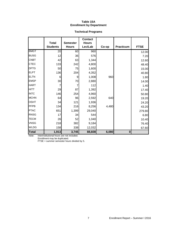# **Table 15A Enrollment by Department**

# **Technical Programs**

|              | <b>Total</b>    | <b>Semester</b> | <b>Contact</b><br><b>Hours</b> |       |                  |             |
|--------------|-----------------|-----------------|--------------------------------|-------|------------------|-------------|
|              | <b>Students</b> | <b>Hours</b>    | Lec/Lab                        | Co-op | <b>Practicum</b> | <b>FTSE</b> |
| <b>BMGT</b>  | $\overline{20}$ | 60              | 960                            |       |                  | 12.00       |
| <b>BUSG</b>  | 12              | 36              | 576                            |       |                  | 7.20        |
| <b>CNBT</b>  | 42              | 63              | 1,344                          |       |                  | 12.60       |
| <b>CTEC</b>  | 133             | 242             | 4,800                          |       |                  | 48.40       |
| <b>DFTG</b>  | 50              | 75              | 1,600                          |       |                  | 15.00       |
| <b>ELPT</b>  | 136             | 204             | 4,352                          |       |                  | 40.80       |
| <b>ELTN</b>  | 6               | 9               | 1,008                          | 960   |                  | 1.80        |
| <b>EMSP</b>  | 30 <sup>°</sup> | 70              | 2,880                          |       |                  | 14.00       |
| <b>HART</b>  |                 |                 | 112                            |       |                  | 1.40        |
| <b>HITT</b>  | 29              | 87              | 1,392                          |       |                  | 17.40       |
| <b>INTC</b>  | 146             | 254             | 4,960                          |       |                  | 50.80       |
| <b>MCHN</b>  | 64              | 96              | 2,592                          | 640   |                  | 19.20       |
| <b>OSHT</b>  | 34              | 121             | 1,936                          |       |                  | 24.20       |
| PFPB         | 134             | 216             | 8,256                          | 4,480 |                  | 43.20       |
| <b>PTAC</b>  | 651             | 1,399           | 29,040                         |       |                  | 279.80      |
| <b>RNSG</b>  | 17              | 34              | 544                            |       |                  | 6.80        |
| <b>TECM</b>  | 26              | 52              | 1,040                          |       |                  | 10.40       |
| <b>VNSG</b>  | 218             | 382             | 9,184                          |       |                  | 76.40       |
| <b>WLDG</b>  | 158             | 338             | 12,032                         |       |                  | 67.60       |
| <b>Total</b> | 1,913           | 3,745           | 88,608                         | 6,080 | $\bf{0}$         |             |

Note: Interinstitutional hours are not included.

Enrollment may be duplicated.

FTSE = summer semester hours divided by 5.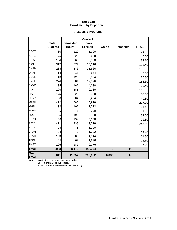# **Table 15B Enrollment by Department**

# **Academic Programs**

|                       | <b>Total</b>    | <b>Semester</b> | <b>Contact</b><br><b>Hours</b> |          |           |             |
|-----------------------|-----------------|-----------------|--------------------------------|----------|-----------|-------------|
|                       | <b>Students</b> | <b>Hours</b>    | Lec/Lab                        | Co-op    | Practicum | <b>FTSE</b> |
| <b>ACCT</b>           | 60              | 120             | 1,920                          |          |           | 24.00       |
| <b>ARTS</b>           | 75              | 225             | 3,600                          |          |           | 45.00       |
| <b>BCIS</b>           | 134             | 268             | 5,360                          |          |           | 53.60       |
| <b>BIOL</b>           | 317             | 677             | 15,216                         |          |           | 135.40      |
| <b>CHEM</b>           | 263             | 543             | 11,536                         |          |           | 108.60      |
| <b>DRAM</b>           | 14              | 15              | 864                            |          |           | 3.00        |
| <b>ECON</b>           | 43              | 129             | 2,064                          |          |           | 25.80       |
| <b>ENGL</b>           | 274             | 784             | 12,896                         |          |           | 156.80      |
| <b>ENVR</b>           | 85              | 167             | 4,080                          |          |           | 33.40       |
| GOVT                  | 195             | 585             | 9,360                          |          |           | 117.00      |
| <b>HIST</b>           | 175             | 525             | 8,400                          |          |           | 105.00      |
| <b>HUMA</b>           | 68              | 204             | 3,264                          |          |           | 40.80       |
| <b>MATH</b>           | 412             | 1,085           | 18,928                         |          |           | 217.00      |
| <b>MHSM</b>           | 33              | 107             | 1,712                          |          |           | 21.40       |
| <b>MUEN</b>           | 5               | 5               | 320                            |          |           | 1.00        |
| <b>MUSI</b>           | 65              | 195             | 3,120                          |          |           | 39.00       |
| <b>PHYS</b>           | 66              | 134             | 3,168                          |          |           | 26.80       |
| <b>PSYC</b>           | 411             | 1,233           | 19,728                         |          |           | 246.60      |
| SOCI                  | 25              | 75              | 1,200                          |          |           | 15.00       |
| <b>SPAN</b>           | 34              | 72              | 1,392                          |          |           | 14.40       |
| <b>SPCH</b>           | 103             | 309             | 4,944                          |          |           | 61.80       |
| <b>TECA</b>           | 35              | 69              | 1,296                          |          |           | 13.80       |
| <b>TMGT</b>           | 206             | 586             | 9,376                          |          |           | 117.20      |
| <b>Total</b>          | 3,098           | 8,112           | 143,744                        | $\bf{0}$ | $\bf{0}$  |             |
| Grand<br><b>Total</b> | 5,011           | 11,857          | 232,352                        | 6,080    | $\bf{0}$  |             |

Note: Interinstitutional hours are not included.

Enrollment may be duplicated.

FTSE = summer semester hours divided by 5.